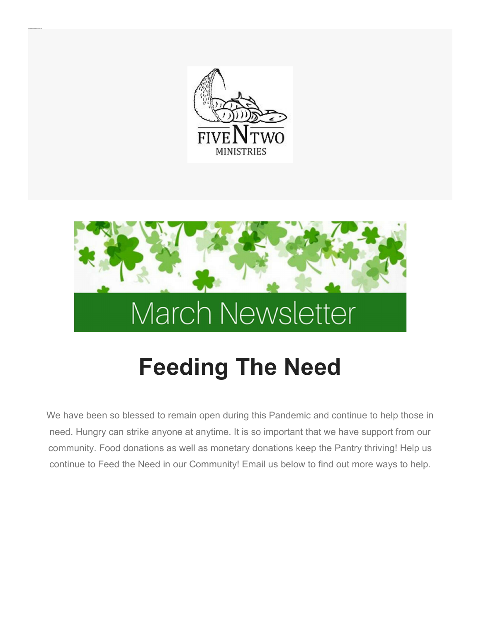

Donate and Be Som eone's Lucky C harm



## Feeding The Need

We have been so blessed to remain open during this Pandemic and continue to help those in need. Hungry can strike anyone at anytime. It is so important that we have support from our community. Food donations as well as monetary donations keep the Pantry thriving! Help us continue to Feed the Need in our Community! Email us below to find out more ways to help.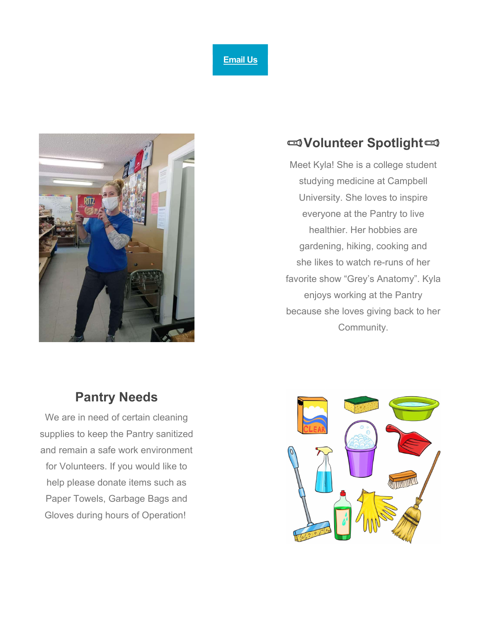



## Volunteer Spotlight

Meet Kyla! She is a college student studying medicine at Campbell University. She loves to inspire everyone at the Pantry to live healthier. Her hobbies are gardening, hiking, cooking and she likes to watch re-runs of her favorite show "Grey's Anatomy". Kyla enjoys working at the Pantry because she loves giving back to her Community.

## Pantry Needs

We are in need of certain cleaning supplies to keep the Pantry sanitized and remain a safe work environment for Volunteers. If you would like to help please donate items such as Paper Towels, Garbage Bags and Gloves during hours of Operation!

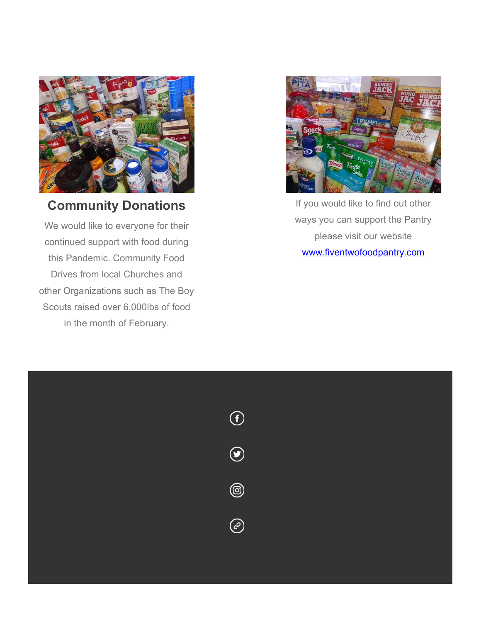

Community Donations

We would like to everyone for their continued support with food during this Pandemic. Community Food Drives from local Churches and other Organizations such as The Boy Scouts raised over 6,000lbs of food in the month of February.



If you would like to find out other ways you can support the Pantry please visit our website www.fiventwofoodpantry.com